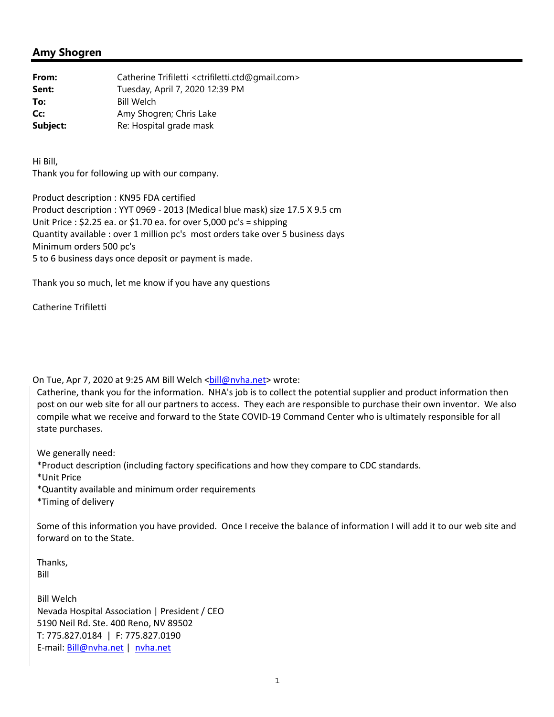## **Amy Shogren**

**From:** Catherine Trifiletti <ctrifiletti.ctd@gmail.com> **Sent:** Tuesday, April 7, 2020 12:39 PM **To:** Bill Welch **Cc:** Amy Shogren; Chris Lake **Subject:** Re: Hospital grade mask

Hi Bill, Thank you for following up with our company.

Product description : KN95 FDA certified Product description : YYT 0969 ‐ 2013 (Medical blue mask) size 17.5 X 9.5 cm Unit Price : \$2.25 ea. or \$1.70 ea. for over 5,000 pc's = shipping Quantity available : over 1 million pc's most orders take over 5 business days Minimum orders 500 pc's 5 to 6 business days once deposit or payment is made.

Thank you so much, let me know if you have any questions

Catherine Trifiletti

On Tue, Apr 7, 2020 at 9:25 AM Bill Welch <br/> <br/> <br/>Movida.net> wrote:

Catherine, thank you for the information. NHA's job is to collect the potential supplier and product information then post on our web site for all our partners to access. They each are responsible to purchase their own inventor. We also compile what we receive and forward to the State COVID‐19 Command Center who is ultimately responsible for all state purchases.

We generally need:

\*Product description (including factory specifications and how they compare to CDC standards.

\*Unit Price

\*Quantity available and minimum order requirements

\*Timing of delivery

Some of this information you have provided. Once I receive the balance of information I will add it to our web site and forward on to the State.

Thanks, Bill

Bill Welch Nevada Hospital Association | President / CEO 5190 Neil Rd. Ste. 400 Reno, NV 89502 T: 775.827.0184 | F: 775.827.0190 E‐mail: Bill@nvha.net | nvha.net